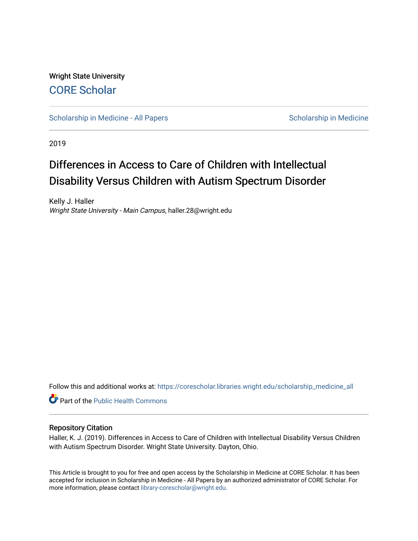Wright State University [CORE Scholar](https://corescholar.libraries.wright.edu/)

[Scholarship in Medicine - All Papers](https://corescholar.libraries.wright.edu/scholarship_medicine_all) Scholarship in Medicine

2019

# Differences in Access to Care of Children with Intellectual Disability Versus Children with Autism Spectrum Disorder

Kelly J. Haller Wright State University - Main Campus, haller.28@wright.edu

Follow this and additional works at: [https://corescholar.libraries.wright.edu/scholarship\\_medicine\\_all](https://corescholar.libraries.wright.edu/scholarship_medicine_all?utm_source=corescholar.libraries.wright.edu%2Fscholarship_medicine_all%2F4&utm_medium=PDF&utm_campaign=PDFCoverPages) 

Part of the [Public Health Commons](http://network.bepress.com/hgg/discipline/738?utm_source=corescholar.libraries.wright.edu%2Fscholarship_medicine_all%2F4&utm_medium=PDF&utm_campaign=PDFCoverPages) 

#### Repository Citation

Haller, K. J. (2019). Differences in Access to Care of Children with Intellectual Disability Versus Children with Autism Spectrum Disorder. Wright State University. Dayton, Ohio.

This Article is brought to you for free and open access by the Scholarship in Medicine at CORE Scholar. It has been accepted for inclusion in Scholarship in Medicine - All Papers by an authorized administrator of CORE Scholar. For more information, please contact [library-corescholar@wright.edu.](mailto:library-corescholar@wright.edu)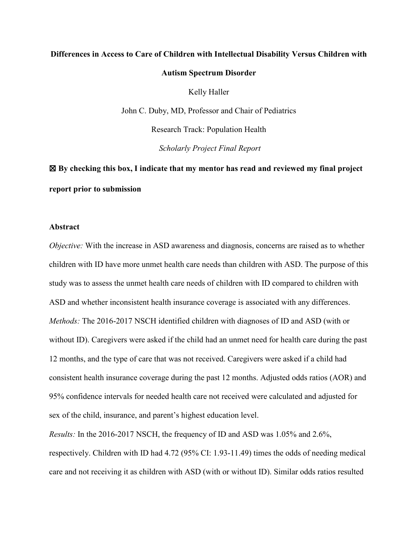# **Differences in Access to Care of Children with Intellectual Disability Versus Children with Autism Spectrum Disorder**

Kelly Haller

John C. Duby, MD, Professor and Chair of Pediatrics

Research Track: Population Health

*Scholarly Project Final Report*

☒ **By checking this box, I indicate that my mentor has read and reviewed my final project report prior to submission**

#### **Abstract**

*Objective:* With the increase in ASD awareness and diagnosis, concerns are raised as to whether children with ID have more unmet health care needs than children with ASD. The purpose of this study was to assess the unmet health care needs of children with ID compared to children with ASD and whether inconsistent health insurance coverage is associated with any differences. *Methods:* The 2016-2017 NSCH identified children with diagnoses of ID and ASD (with or without ID). Caregivers were asked if the child had an unmet need for health care during the past 12 months, and the type of care that was not received. Caregivers were asked if a child had consistent health insurance coverage during the past 12 months. Adjusted odds ratios (AOR) and 95% confidence intervals for needed health care not received were calculated and adjusted for sex of the child, insurance, and parent's highest education level.

*Results:* In the 2016-2017 NSCH, the frequency of ID and ASD was 1.05% and 2.6%, respectively. Children with ID had 4.72 (95% CI: 1.93-11.49) times the odds of needing medical care and not receiving it as children with ASD (with or without ID). Similar odds ratios resulted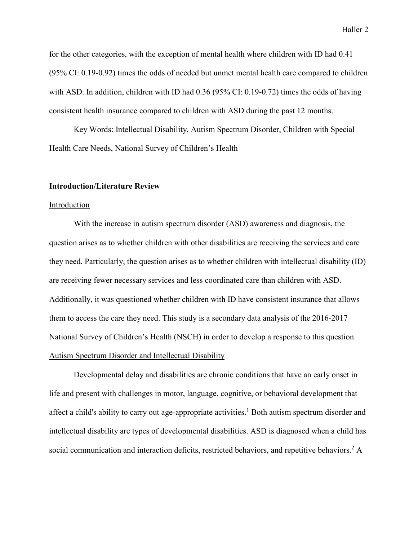for the other categories, with the exception of mental health where children with ID had 0.41 (95% CI: 0.19-0.92) times the odds of needed but unmet mental health care compared to children with ASD. In addition, children with ID had 0.36 (95% CI: 0.19-0.72) times the odds of having consistent health insurance compared to children with ASD during the past 12 months.

Key Words: Intellectual Disability, Autism Spectrum Disorder, Children with Special Health Care Needs, National Survey of Children's Health

#### **Introduction/Literature Review**

#### Introduction

With the increase in autism spectrum disorder (ASD) awareness and diagnosis, the question arises as to whether children with other disabilities are receiving the services and care they need. Particularly, the question arises as to whether children with intellectual disability (ID) are receiving fewer necessary services and less coordinated care than children with ASD. Additionally, it was questioned whether children with ID have consistent insurance that allows them to access the care they need. This study is a secondary data analysis of the 2016-2017 National Survey of Children's Health (NSCH) in order to develop a response to this question. Autism Spectrum Disorder and Intellectual Disability

Developmental delay and disabilities are chronic conditions that have an early onset in life and present with challenges in motor, language, cognitive, or behavioral development that affect a child's ability to carry out age-appropriate activities.<sup>1</sup> Both autism spectrum disorder and intellectual disability are types of developmental disabilities. ASD is diagnosed when a child has social communication and interaction deficits, restricted behaviors, and repetitive behaviors.<sup>2</sup> A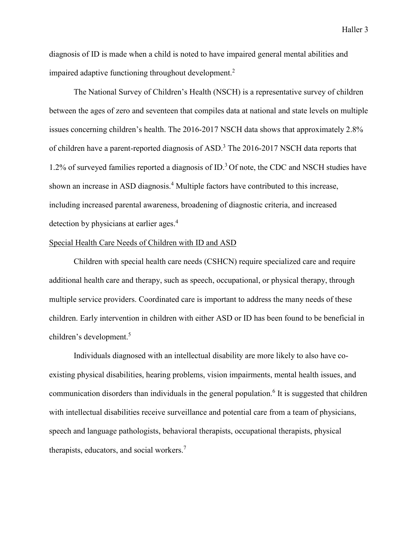diagnosis of ID is made when a child is noted to have impaired general mental abilities and impaired adaptive functioning throughout development.<sup>2</sup>

The National Survey of Children's Health (NSCH) is a representative survey of children between the ages of zero and seventeen that compiles data at national and state levels on multiple issues concerning children's health. The 2016-2017 NSCH data shows that approximately 2.8% of children have a parent-reported diagnosis of ASD.<sup>3</sup> The 2016-2017 NSCH data reports that  $1.2\%$  of surveyed families reported a diagnosis of ID.<sup>3</sup> Of note, the CDC and NSCH studies have shown an increase in ASD diagnosis.<sup>4</sup> Multiple factors have contributed to this increase, including increased parental awareness, broadening of diagnostic criteria, and increased detection by physicians at earlier ages.<sup>4</sup>

#### Special Health Care Needs of Children with ID and ASD

 Children with special health care needs (CSHCN) require specialized care and require additional health care and therapy, such as speech, occupational, or physical therapy, through multiple service providers. Coordinated care is important to address the many needs of these children. Early intervention in children with either ASD or ID has been found to be beneficial in children's development.5

Individuals diagnosed with an intellectual disability are more likely to also have coexisting physical disabilities, hearing problems, vision impairments, mental health issues, and communication disorders than individuals in the general population.<sup>6</sup> It is suggested that children with intellectual disabilities receive surveillance and potential care from a team of physicians, speech and language pathologists, behavioral therapists, occupational therapists, physical therapists, educators, and social workers.<sup>7</sup>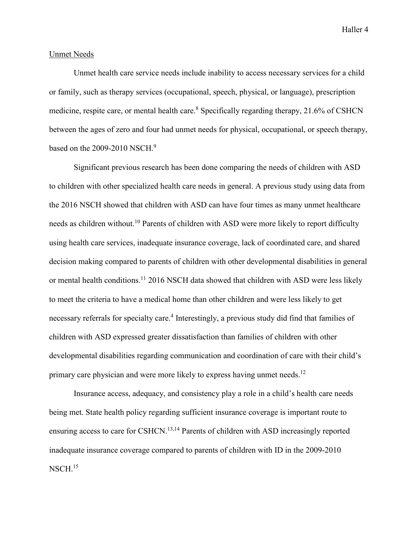#### Unmet Needs

Unmet health care service needs include inability to access necessary services for a child or family, such as therapy services (occupational, speech, physical, or language), prescription medicine, respite care, or mental health care.<sup>8</sup> Specifically regarding therapy, 21.6% of CSHCN between the ages of zero and four had unmet needs for physical, occupational, or speech therapy, based on the  $2009-2010$  NSCH.<sup>9</sup>

Significant previous research has been done comparing the needs of children with ASD to children with other specialized health care needs in general. A previous study using data from the 2016 NSCH showed that children with ASD can have four times as many unmet healthcare needs as children without.<sup>10</sup> Parents of children with ASD were more likely to report difficulty using health care services, inadequate insurance coverage, lack of coordinated care, and shared decision making compared to parents of children with other developmental disabilities in general or mental health conditions.<sup>11</sup> 2016 NSCH data showed that children with ASD were less likely to meet the criteria to have a medical home than other children and were less likely to get necessary referrals for specialty care.<sup>4</sup> Interestingly, a previous study did find that families of children with ASD expressed greater dissatisfaction than families of children with other developmental disabilities regarding communication and coordination of care with their child's primary care physician and were more likely to express having unmet needs.<sup>12</sup>

Insurance access, adequacy, and consistency play a role in a child's health care needs being met. State health policy regarding sufficient insurance coverage is important route to ensuring access to care for CSHCN.13,14 Parents of children with ASD increasingly reported inadequate insurance coverage compared to parents of children with ID in the 2009-2010  $NSCH.<sup>15</sup>$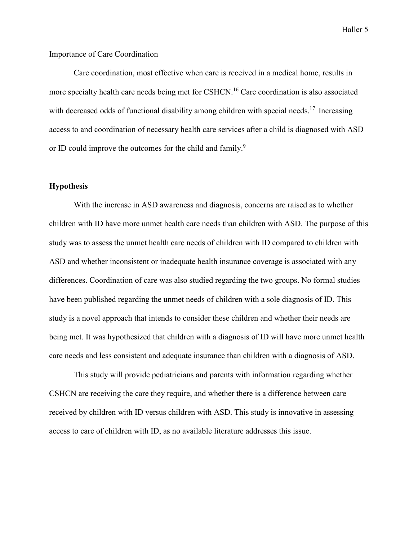#### Importance of Care Coordination

Care coordination, most effective when care is received in a medical home, results in more specialty health care needs being met for CSHCN.<sup>16</sup> Care coordination is also associated with decreased odds of functional disability among children with special needs.<sup>17</sup> Increasing access to and coordination of necessary health care services after a child is diagnosed with ASD or ID could improve the outcomes for the child and family.<sup>9</sup>

#### **Hypothesis**

With the increase in ASD awareness and diagnosis, concerns are raised as to whether children with ID have more unmet health care needs than children with ASD. The purpose of this study was to assess the unmet health care needs of children with ID compared to children with ASD and whether inconsistent or inadequate health insurance coverage is associated with any differences. Coordination of care was also studied regarding the two groups. No formal studies have been published regarding the unmet needs of children with a sole diagnosis of ID. This study is a novel approach that intends to consider these children and whether their needs are being met. It was hypothesized that children with a diagnosis of ID will have more unmet health care needs and less consistent and adequate insurance than children with a diagnosis of ASD.

This study will provide pediatricians and parents with information regarding whether CSHCN are receiving the care they require, and whether there is a difference between care received by children with ID versus children with ASD. This study is innovative in assessing access to care of children with ID, as no available literature addresses this issue.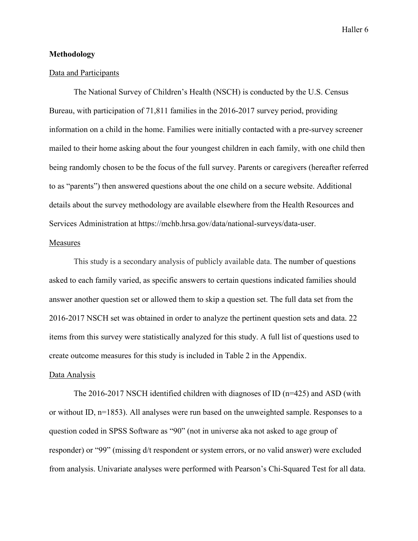#### **Methodology**

#### Data and Participants

The National Survey of Children's Health (NSCH) is conducted by the U.S. Census Bureau, with participation of 71,811 families in the 2016-2017 survey period, providing information on a child in the home. Families were initially contacted with a pre-survey screener mailed to their home asking about the four youngest children in each family, with one child then being randomly chosen to be the focus of the full survey. Parents or caregivers (hereafter referred to as "parents") then answered questions about the one child on a secure website. Additional details about the survey methodology are available elsewhere from the Health Resources and Services Administration at https://mchb.hrsa.gov/data/national-surveys/data-user.

#### Measures

This study is a secondary analysis of publicly available data. The number of questions asked to each family varied, as specific answers to certain questions indicated families should answer another question set or allowed them to skip a question set. The full data set from the 2016-2017 NSCH set was obtained in order to analyze the pertinent question sets and data. 22 items from this survey were statistically analyzed for this study. A full list of questions used to create outcome measures for this study is included in Table 2 in the Appendix.

#### Data Analysis

The 2016-2017 NSCH identified children with diagnoses of ID (n=425) and ASD (with or without ID, n=1853). All analyses were run based on the unweighted sample. Responses to a question coded in SPSS Software as "90" (not in universe aka not asked to age group of responder) or "99" (missing d/t respondent or system errors, or no valid answer) were excluded from analysis. Univariate analyses were performed with Pearson's Chi-Squared Test for all data.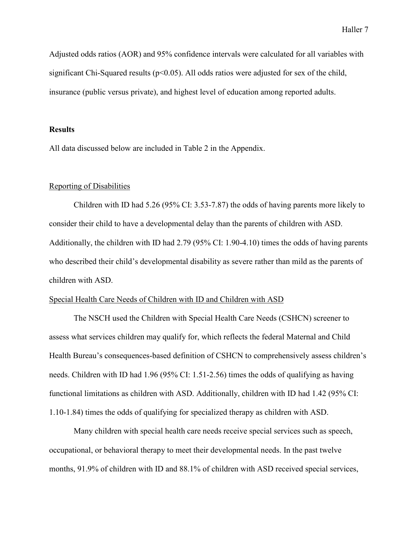Adjusted odds ratios (AOR) and 95% confidence intervals were calculated for all variables with significant Chi-Squared results ( $p<0.05$ ). All odds ratios were adjusted for sex of the child, insurance (public versus private), and highest level of education among reported adults.

#### **Results**

All data discussed below are included in Table 2 in the Appendix.

#### Reporting of Disabilities

Children with ID had 5.26 (95% CI: 3.53-7.87) the odds of having parents more likely to consider their child to have a developmental delay than the parents of children with ASD. Additionally, the children with ID had 2.79 (95% CI: 1.90-4.10) times the odds of having parents who described their child's developmental disability as severe rather than mild as the parents of children with ASD.

### Special Health Care Needs of Children with ID and Children with ASD

The NSCH used the Children with Special Health Care Needs (CSHCN) screener to assess what services children may qualify for, which reflects the federal Maternal and Child Health Bureau's consequences-based definition of CSHCN to comprehensively assess children's needs. Children with ID had 1.96 (95% CI: 1.51-2.56) times the odds of qualifying as having functional limitations as children with ASD. Additionally, children with ID had 1.42 (95% CI: 1.10-1.84) times the odds of qualifying for specialized therapy as children with ASD.

Many children with special health care needs receive special services such as speech, occupational, or behavioral therapy to meet their developmental needs. In the past twelve months, 91.9% of children with ID and 88.1% of children with ASD received special services,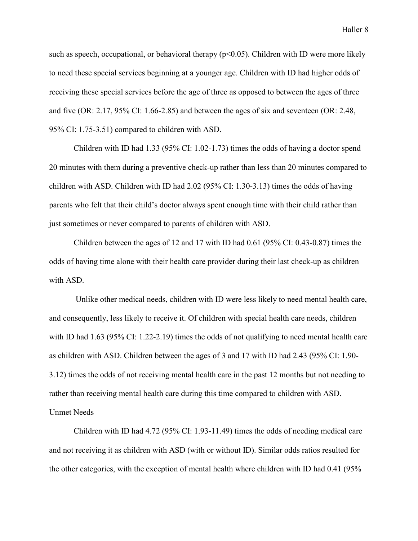such as speech, occupational, or behavioral therapy ( $p<0.05$ ). Children with ID were more likely to need these special services beginning at a younger age. Children with ID had higher odds of receiving these special services before the age of three as opposed to between the ages of three and five (OR: 2.17, 95% CI: 1.66-2.85) and between the ages of six and seventeen (OR: 2.48, 95% CI: 1.75-3.51) compared to children with ASD.

Children with ID had 1.33 (95% CI: 1.02-1.73) times the odds of having a doctor spend 20 minutes with them during a preventive check-up rather than less than 20 minutes compared to children with ASD. Children with ID had 2.02 (95% CI: 1.30-3.13) times the odds of having parents who felt that their child's doctor always spent enough time with their child rather than just sometimes or never compared to parents of children with ASD.

Children between the ages of 12 and 17 with ID had 0.61 (95% CI: 0.43-0.87) times the odds of having time alone with their health care provider during their last check-up as children with ASD.

Unlike other medical needs, children with ID were less likely to need mental health care, and consequently, less likely to receive it. Of children with special health care needs, children with ID had 1.63 (95% CI: 1.22-2.19) times the odds of not qualifying to need mental health care as children with ASD. Children between the ages of 3 and 17 with ID had 2.43 (95% CI: 1.90- 3.12) times the odds of not receiving mental health care in the past 12 months but not needing to rather than receiving mental health care during this time compared to children with ASD. Unmet Needs

# Children with ID had 4.72 (95% CI: 1.93-11.49) times the odds of needing medical care and not receiving it as children with ASD (with or without ID). Similar odds ratios resulted for the other categories, with the exception of mental health where children with ID had 0.41 (95%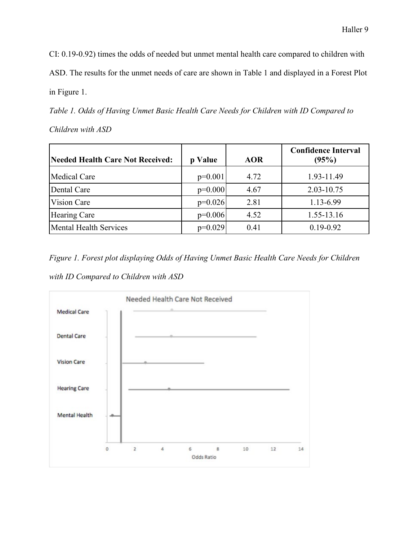CI: 0.19-0.92) times the odds of needed but unmet mental health care compared to children with

ASD. The results for the unmet needs of care are shown in Table 1 and displayed in a Forest Plot

in Figure 1.

*Table 1. Odds of Having Unmet Basic Health Care Needs for Children with ID Compared to* 

*Children with ASD*

| Needed Health Care Not Received: | p Value   | <b>AOR</b> | <b>Confidence Interval</b><br>(95%) |
|----------------------------------|-----------|------------|-------------------------------------|
| Medical Care                     | $p=0.001$ | 4.72       | 1.93-11.49                          |
| Dental Care                      | $p=0.000$ | 4.67       | 2.03-10.75                          |
| Vision Care                      | $p=0.026$ | 2.81       | 1.13-6.99                           |
| <b>Hearing Care</b>              | $p=0.006$ | 4.52       | 1.55-13.16                          |
| <b>Mental Health Services</b>    | $p=0.029$ | 0.41       | $0.19 - 0.92$                       |

*Figure 1. Forest plot displaying Odds of Having Unmet Basic Health Care Needs for Children with ID Compared to Children with ASD*

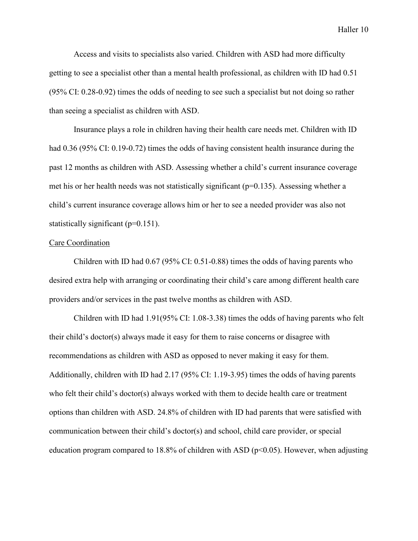Access and visits to specialists also varied. Children with ASD had more difficulty getting to see a specialist other than a mental health professional, as children with ID had 0.51 (95% CI: 0.28-0.92) times the odds of needing to see such a specialist but not doing so rather than seeing a specialist as children with ASD.

Insurance plays a role in children having their health care needs met. Children with ID had 0.36 (95% CI: 0.19-0.72) times the odds of having consistent health insurance during the past 12 months as children with ASD. Assessing whether a child's current insurance coverage met his or her health needs was not statistically significant ( $p=0.135$ ). Assessing whether a child's current insurance coverage allows him or her to see a needed provider was also not statistically significant  $(p=0.151)$ .

#### Care Coordination

Children with ID had 0.67 (95% CI: 0.51-0.88) times the odds of having parents who desired extra help with arranging or coordinating their child's care among different health care providers and/or services in the past twelve months as children with ASD.

Children with ID had 1.91(95% CI: 1.08-3.38) times the odds of having parents who felt their child's doctor(s) always made it easy for them to raise concerns or disagree with recommendations as children with ASD as opposed to never making it easy for them. Additionally, children with ID had 2.17 (95% CI: 1.19-3.95) times the odds of having parents who felt their child's doctor(s) always worked with them to decide health care or treatment options than children with ASD. 24.8% of children with ID had parents that were satisfied with communication between their child's doctor(s) and school, child care provider, or special education program compared to 18.8% of children with ASD ( $p<0.05$ ). However, when adjusting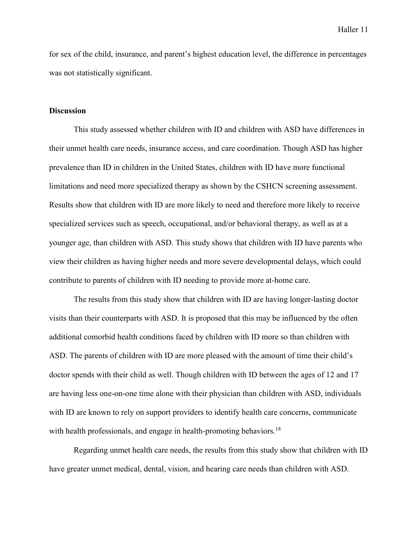for sex of the child, insurance, and parent's highest education level, the difference in percentages was not statistically significant.

#### **Discussion**

This study assessed whether children with ID and children with ASD have differences in their unmet health care needs, insurance access, and care coordination. Though ASD has higher prevalence than ID in children in the United States, children with ID have more functional limitations and need more specialized therapy as shown by the CSHCN screening assessment. Results show that children with ID are more likely to need and therefore more likely to receive specialized services such as speech, occupational, and/or behavioral therapy, as well as at a younger age, than children with ASD. This study shows that children with ID have parents who view their children as having higher needs and more severe developmental delays, which could contribute to parents of children with ID needing to provide more at-home care.

The results from this study show that children with ID are having longer-lasting doctor visits than their counterparts with ASD. It is proposed that this may be influenced by the often additional comorbid health conditions faced by children with ID more so than children with ASD. The parents of children with ID are more pleased with the amount of time their child's doctor spends with their child as well. Though children with ID between the ages of 12 and 17 are having less one-on-one time alone with their physician than children with ASD, individuals with ID are known to rely on support providers to identify health care concerns, communicate with health professionals, and engage in health-promoting behaviors.<sup>18</sup>

Regarding unmet health care needs, the results from this study show that children with ID have greater unmet medical, dental, vision, and hearing care needs than children with ASD.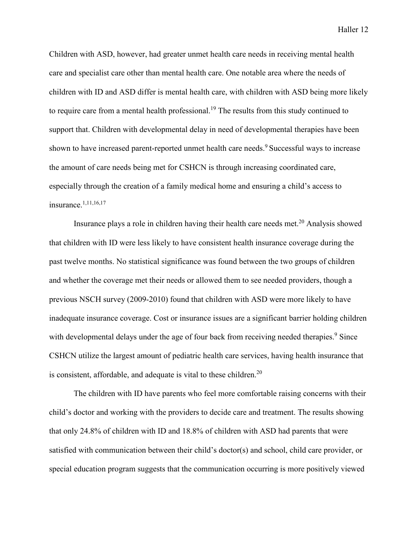Children with ASD, however, had greater unmet health care needs in receiving mental health care and specialist care other than mental health care. One notable area where the needs of children with ID and ASD differ is mental health care, with children with ASD being more likely to require care from a mental health professional.<sup>19</sup> The results from this study continued to support that. Children with developmental delay in need of developmental therapies have been shown to have increased parent-reported unmet health care needs.<sup>9</sup> Successful ways to increase the amount of care needs being met for CSHCN is through increasing coordinated care, especially through the creation of a family medical home and ensuring a child's access to insurance.1,11,16,17

Insurance plays a role in children having their health care needs met.<sup>20</sup> Analysis showed that children with ID were less likely to have consistent health insurance coverage during the past twelve months. No statistical significance was found between the two groups of children and whether the coverage met their needs or allowed them to see needed providers, though a previous NSCH survey (2009-2010) found that children with ASD were more likely to have inadequate insurance coverage. Cost or insurance issues are a significant barrier holding children with developmental delays under the age of four back from receiving needed therapies.<sup>9</sup> Since CSHCN utilize the largest amount of pediatric health care services, having health insurance that is consistent, affordable, and adequate is vital to these children.<sup>20</sup>

The children with ID have parents who feel more comfortable raising concerns with their child's doctor and working with the providers to decide care and treatment. The results showing that only 24.8% of children with ID and 18.8% of children with ASD had parents that were satisfied with communication between their child's doctor(s) and school, child care provider, or special education program suggests that the communication occurring is more positively viewed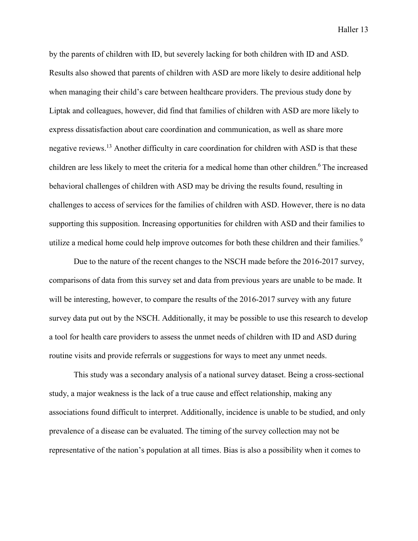by the parents of children with ID, but severely lacking for both children with ID and ASD. Results also showed that parents of children with ASD are more likely to desire additional help when managing their child's care between healthcare providers. The previous study done by Liptak and colleagues, however, did find that families of children with ASD are more likely to express dissatisfaction about care coordination and communication, as well as share more negative reviews.<sup>13</sup> Another difficulty in care coordination for children with ASD is that these children are less likely to meet the criteria for a medical home than other children.<sup>6</sup> The increased behavioral challenges of children with ASD may be driving the results found, resulting in challenges to access of services for the families of children with ASD. However, there is no data supporting this supposition. Increasing opportunities for children with ASD and their families to utilize a medical home could help improve outcomes for both these children and their families.<sup>9</sup>

Due to the nature of the recent changes to the NSCH made before the 2016-2017 survey, comparisons of data from this survey set and data from previous years are unable to be made. It will be interesting, however, to compare the results of the 2016-2017 survey with any future survey data put out by the NSCH. Additionally, it may be possible to use this research to develop a tool for health care providers to assess the unmet needs of children with ID and ASD during routine visits and provide referrals or suggestions for ways to meet any unmet needs.

This study was a secondary analysis of a national survey dataset. Being a cross-sectional study, a major weakness is the lack of a true cause and effect relationship, making any associations found difficult to interpret. Additionally, incidence is unable to be studied, and only prevalence of a disease can be evaluated. The timing of the survey collection may not be representative of the nation's population at all times. Bias is also a possibility when it comes to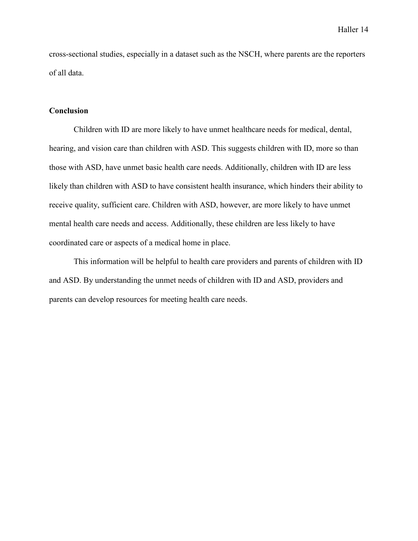cross-sectional studies, especially in a dataset such as the NSCH, where parents are the reporters of all data.

#### **Conclusion**

Children with ID are more likely to have unmet healthcare needs for medical, dental, hearing, and vision care than children with ASD. This suggests children with ID, more so than those with ASD, have unmet basic health care needs. Additionally, children with ID are less likely than children with ASD to have consistent health insurance, which hinders their ability to receive quality, sufficient care. Children with ASD, however, are more likely to have unmet mental health care needs and access. Additionally, these children are less likely to have coordinated care or aspects of a medical home in place.

This information will be helpful to health care providers and parents of children with ID and ASD. By understanding the unmet needs of children with ID and ASD, providers and parents can develop resources for meeting health care needs.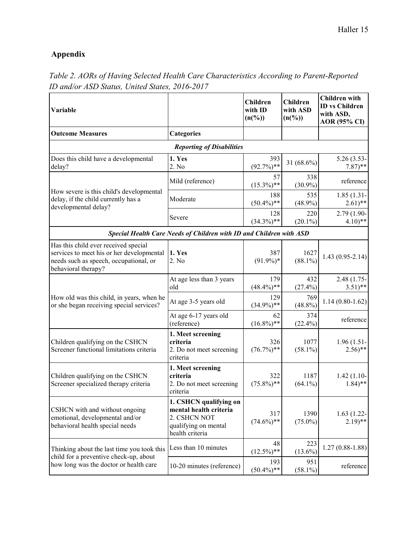## **Appendix**

| <b>Variable</b>                                                                                                                                    |                                                                                                             | <b>Children</b><br>with ID<br>$(n(^{0}/_{0}))$ | <b>Children</b><br>with ASD<br>$(n(^{96}))$ | <b>Children</b> with<br><b>ID</b> vs Children<br>with ASD,<br><b>AOR</b> (95% CI) |
|----------------------------------------------------------------------------------------------------------------------------------------------------|-------------------------------------------------------------------------------------------------------------|------------------------------------------------|---------------------------------------------|-----------------------------------------------------------------------------------|
| <b>Outcome Measures</b>                                                                                                                            | <b>Categories</b>                                                                                           |                                                |                                             |                                                                                   |
|                                                                                                                                                    | <b>Reporting of Disabilities</b>                                                                            |                                                |                                             |                                                                                   |
| Does this child have a developmental<br>delay?                                                                                                     | 1. Yes<br>2. No                                                                                             | 393<br>$(92.7\%)$ **                           | 31 $(68.6\%)$                               | 5.26 (3.53-<br>$7.87$ <sup>**</sup>                                               |
| How severe is this child's developmental<br>delay, if the child currently has a<br>developmental delay?                                            | Mild (reference)                                                                                            | 57<br>$(15.3\%)$ **                            | 338<br>$(30.9\%)$                           | reference                                                                         |
|                                                                                                                                                    | Moderate                                                                                                    | 188<br>$(50.4\%)$ **                           | 535<br>$(48.9\%)$                           | $1.85(1.31 -$<br>$(2.61)$ **                                                      |
|                                                                                                                                                    | Severe                                                                                                      | 128<br>$(34.3\%)$ **                           | 220<br>$(20.1\%)$                           | 2.79 (1.90-<br>$4.10**$                                                           |
|                                                                                                                                                    | Special Health Care Needs of Children with ID and Children with ASD                                         |                                                |                                             |                                                                                   |
| Has this child ever received special<br>services to meet his or her developmental<br>needs such as speech, occupational, or<br>behavioral therapy? | 1. Yes<br>2. No                                                                                             | 387<br>$(91.9\%)*$                             | 1627<br>$(88.1\%)$                          | $1.43(0.95-2.14)$                                                                 |
| How old was this child, in years, when he<br>or she began receiving special services?                                                              | At age less than 3 years<br>old                                                                             | 179<br>$(48.4\%)$ **                           | 432<br>$(27.4\%)$                           | 2.48 (1.75-<br>$(3.51)$ **                                                        |
|                                                                                                                                                    | At age 3-5 years old                                                                                        | 129<br>$(34.9\%)$ **                           | 769<br>$(48.8\%)$                           | $1.14(0.80-1.62)$                                                                 |
|                                                                                                                                                    | At age 6-17 years old<br>(reference)                                                                        | 62<br>$(16.8\%)$ **                            | 374<br>$(22.4\%)$                           | reference                                                                         |
| Children qualifying on the CSHCN<br>Screener functional limitations criteria                                                                       | 1. Meet screening<br>criteria<br>2. Do not meet screening<br>criteria                                       | 326<br>$(76.7\%)$ **                           | 1077<br>$(58.1\%)$                          | $1.96(1.51 -$<br>$2.56$ <sup>**</sup>                                             |
| Children qualifying on the CSHCN<br>Screener specialized therapy criteria                                                                          | 1. Meet screening<br>criteria<br>2. Do not meet screening<br>criteria                                       | 322<br>$(75.8\%)$ **                           | 1187<br>$(64.1\%)$                          | $1.42(1.10-$<br>$1.84$ <sup>**</sup>                                              |
| CSHCN with and without ongoing<br>emotional, developmental and/or<br>behavioral health special needs                                               | 1. CSHCN qualifying on<br>mental health criteria<br>2. CSHCN NOT<br>qualifying on mental<br>health criteria | 317<br>$(74.6\%)$ **                           | 1390<br>$(75.0\%)$                          | $1.63(1.22 -$<br>$2.19$ <sup>**</sup>                                             |
| Thinking about the last time you took this<br>child for a preventive check-up, about<br>how long was the doctor or health care                     | Less than 10 minutes                                                                                        | 48<br>$(12.5\%)$ **                            | 223<br>$(13.6\%)$                           | $1.27(0.88-1.88)$                                                                 |
|                                                                                                                                                    | 10-20 minutes (reference)                                                                                   | 193<br>$(50.4\%)$ **                           | 951<br>$(58.1\%)$                           | reference                                                                         |

### *Table 2. AORs of Having Selected Health Care Characteristics According to Parent-Reported ID and/or ASD Status, United States, 2016-2017*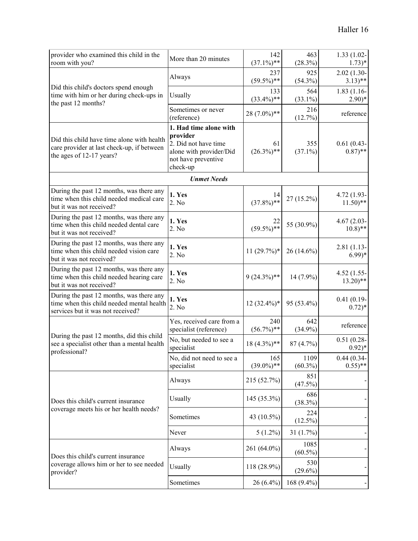| provider who examined this child in the<br>room with you?                                                                  | More than 20 minutes                                                                                                     | 142<br>$(37.1\%)$ ** | 463<br>(28.3%)     | $1.33(1.02 -$<br>$1.73)*$              |
|----------------------------------------------------------------------------------------------------------------------------|--------------------------------------------------------------------------------------------------------------------------|----------------------|--------------------|----------------------------------------|
| Did this child's doctors spend enough<br>time with him or her during check-ups in<br>the past 12 months?                   | Always                                                                                                                   | 237<br>$(59.5\%)$ ** | 925<br>$(54.3\%)$  | $2.02(1.30-$<br>$3.13)$ **             |
|                                                                                                                            | Usually                                                                                                                  | 133<br>$(33.4\%)$ ** | 564<br>$(33.1\%)$  | $1.83(1.16-$<br>$2.90)*$               |
|                                                                                                                            | Sometimes or never<br>(reference)                                                                                        | 28 (7.0%)**          | 216<br>(12.7%)     | reference                              |
| Did this child have time alone with health<br>care provider at last check-up, if between<br>the ages of 12-17 years?       | 1. Had time alone with<br>provider<br>2. Did not have time<br>alone with provider/Did<br>not have preventive<br>check-up | 61<br>$(26.3\%)$ **  | 355<br>$(37.1\%)$  | $0.61(0.43-$<br>$(0.87)$ **            |
|                                                                                                                            | <b>Unmet Needs</b>                                                                                                       |                      |                    |                                        |
| During the past 12 months, was there any<br>time when this child needed medical care<br>but it was not received?           | 1. Yes<br>2. No                                                                                                          | 14<br>$(37.8\%)$ **  | 27 (15.2%)         | $4.72(1.93 -$<br>$11.50$ <sup>**</sup> |
| During the past 12 months, was there any<br>time when this child needed dental care<br>but it was not received?            | 1. Yes<br>2. No                                                                                                          | 22<br>$(59.5\%)$ **  | 55 (30.9%)         | $4.67(2.03 -$<br>$10.8$ <sup>**</sup>  |
| During the past 12 months, was there any<br>time when this child needed vision care<br>but it was not received?            | 1. Yes<br>2. No                                                                                                          | $11(29.7\%)*$        | 26 (14.6%)         | $2.81(1.13-$<br>$6.99)*$               |
| During the past 12 months, was there any<br>time when this child needed hearing care<br>but it was not received?           | 1. Yes<br>2. No                                                                                                          | $9(24.3\%)**$        | 14 (7.9%)          | $4.52(1.55 -$<br>$13.20$ <sup>**</sup> |
| During the past 12 months, was there any<br>time when this child needed mental health<br>services but it was not received? | 1. Yes<br>2. No                                                                                                          | $12(32.4\%)*$        | 95 (53.4%)         | $0.41(0.19-$<br>$0.72)*$               |
| During the past 12 months, did this child<br>see a specialist other than a mental health<br>professional?                  | Yes, received care from a<br>specialist (reference)                                                                      | 240<br>$(56.7\%)$ ** | 642<br>$(34.9\%)$  | reference                              |
|                                                                                                                            | No, but needed to see a<br>specialist                                                                                    | $18(4.3\%)$ **       | 87 (4.7%)          | $0.51(0.28 -$<br>$0.92)*$              |
|                                                                                                                            | No, did not need to see a<br>specialist                                                                                  | 165<br>$(39.0\%)$ ** | 1109<br>$(60.3\%)$ | $0.44(0.34-$<br>$(0.55)$ **            |
| Does this child's current insurance<br>coverage meets his or her health needs?                                             | Always                                                                                                                   | 215 (52.7%)          | 851<br>(47.5%)     |                                        |
|                                                                                                                            | Usually                                                                                                                  | $145(35.3\%)$        | 686<br>(38.3%)     |                                        |
|                                                                                                                            | Sometimes                                                                                                                | 43 (10.5%)           | 224<br>$(12.5\%)$  |                                        |
|                                                                                                                            | Never                                                                                                                    | $5(1.2\%)$           | 31(1.7%)           |                                        |
| Does this child's current insurance<br>coverage allows him or her to see needed<br>provider?                               | Always                                                                                                                   | 261 (64.0%)          | 1085<br>$(60.5\%)$ |                                        |
|                                                                                                                            | Usually                                                                                                                  | 118 (28.9%)          | 530<br>$(29.6\%)$  |                                        |
|                                                                                                                            | Sometimes                                                                                                                | $26(6.4\%)$          | 168 (9.4%)         |                                        |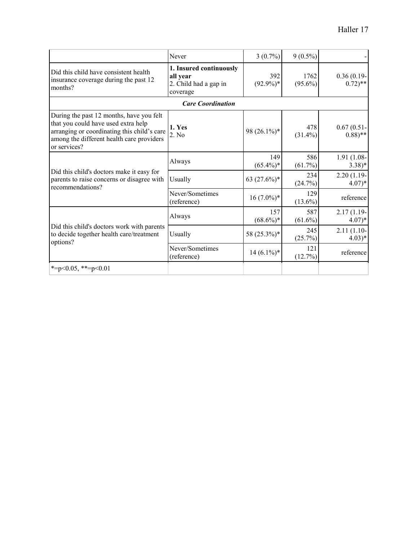|                                                                                                                                                                                             | Never                                                                    | $3(0.7\%)$         | $9(0.5\%)$         |                                      |
|---------------------------------------------------------------------------------------------------------------------------------------------------------------------------------------------|--------------------------------------------------------------------------|--------------------|--------------------|--------------------------------------|
| Did this child have consistent health<br>insurance coverage during the past 12<br>months?                                                                                                   | 1. Insured continuously<br>all year<br>2. Child had a gap in<br>coverage | 392<br>$(92.9\%)*$ | 1762<br>$(95.6\%)$ | $0.36(0.19-$<br>$0.72$ <sup>**</sup> |
| <b>Care Coordination</b>                                                                                                                                                                    |                                                                          |                    |                    |                                      |
| During the past 12 months, have you felt<br>that you could have used extra help<br>arranging or coordinating this child's care<br>among the different health care providers<br>or services? | 1. Yes<br>2. No                                                          | 98 $(26.1\%)$ *    | 478<br>$(31.4\%)$  | $0.67(0.51 -$<br>$(0.88)$ **         |
| Did this child's doctors make it easy for<br>parents to raise concerns or disagree with<br>recommendations?                                                                                 | Always                                                                   | 149<br>$(65.4\%)*$ | 586<br>$(61.7\%)$  | $1.91(1.08 -$<br>$(3.38)*$           |
|                                                                                                                                                                                             | Usually                                                                  | 63 $(27.6\%)*$     | 234<br>(24.7%)     | $2.20(1.19-$<br>$4.07)*$             |
|                                                                                                                                                                                             | Never/Sometimes<br>(reference)                                           | $16(7.0\%)*$       | 129<br>$(13.6\%)$  | reference                            |
| Did this child's doctors work with parents<br>to decide together health care/treatment<br>options?                                                                                          | Always                                                                   | 157<br>$(68.6\%)*$ | 587<br>$(61.6\%)$  | $2.17(1.19-$<br>$4.07)*$             |
|                                                                                                                                                                                             | Usually                                                                  | 58 (25.3%)*        | 245<br>(25.7%)     | $2.11(1.10-$<br>$4.03)*$             |
|                                                                                                                                                                                             | Never/Sometimes<br>(reference)                                           | $14(6.1\%)*$       | 121<br>(12.7%)     | reference                            |
| *= $p<0.05$ , **= $p<0.01$                                                                                                                                                                  |                                                                          |                    |                    |                                      |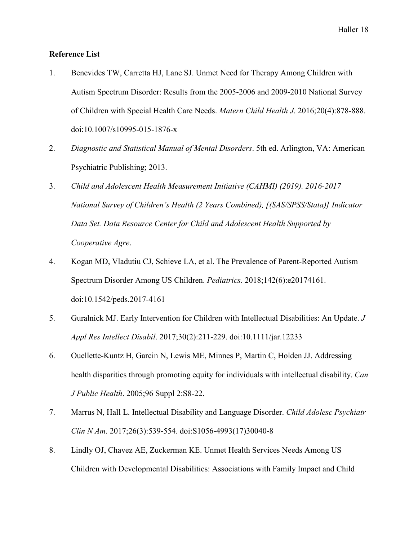### **Reference List**

- 1. Benevides TW, Carretta HJ, Lane SJ. Unmet Need for Therapy Among Children with Autism Spectrum Disorder: Results from the 2005-2006 and 2009-2010 National Survey of Children with Special Health Care Needs. *Matern Child Health J*. 2016;20(4):878-888. doi:10.1007/s10995-015-1876-x
- 2. *Diagnostic and Statistical Manual of Mental Disorders*. 5th ed. Arlington, VA: American Psychiatric Publishing; 2013.
- 3. *Child and Adolescent Health Measurement Initiative (CAHMI) (2019). 2016-2017 National Survey of Children's Health (2 Years Combined), [(SAS/SPSS/Stata)] Indicator Data Set. Data Resource Center for Child and Adolescent Health Supported by Cooperative Agre*.
- 4. Kogan MD, Vladutiu CJ, Schieve LA, et al. The Prevalence of Parent-Reported Autism Spectrum Disorder Among US Children. *Pediatrics*. 2018;142(6):e20174161. doi:10.1542/peds.2017-4161
- 5. Guralnick MJ. Early Intervention for Children with Intellectual Disabilities: An Update. *J Appl Res Intellect Disabil*. 2017;30(2):211-229. doi:10.1111/jar.12233
- 6. Ouellette-Kuntz H, Garcin N, Lewis ME, Minnes P, Martin C, Holden JJ. Addressing health disparities through promoting equity for individuals with intellectual disability. *Can J Public Health*. 2005;96 Suppl 2:S8-22.
- 7. Marrus N, Hall L. Intellectual Disability and Language Disorder. *Child Adolesc Psychiatr Clin N Am*. 2017;26(3):539-554. doi:S1056-4993(17)30040-8
- 8. Lindly OJ, Chavez AE, Zuckerman KE. Unmet Health Services Needs Among US Children with Developmental Disabilities: Associations with Family Impact and Child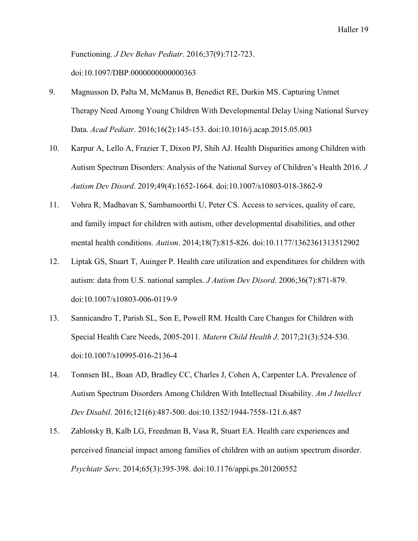Functioning. *J Dev Behav Pediatr*. 2016;37(9):712-723. doi:10.1097/DBP.0000000000000363

- 9. Magnusson D, Palta M, McManus B, Benedict RE, Durkin MS. Capturing Unmet Therapy Need Among Young Children With Developmental Delay Using National Survey Data. *Acad Pediatr*. 2016;16(2):145-153. doi:10.1016/j.acap.2015.05.003
- 10. Karpur A, Lello A, Frazier T, Dixon PJ, Shih AJ. Health Disparities among Children with Autism Spectrum Disorders: Analysis of the National Survey of Children's Health 2016. *J Autism Dev Disord*. 2019;49(4):1652-1664. doi:10.1007/s10803-018-3862-9
- 11. Vohra R, Madhavan S, Sambamoorthi U, Peter CS. Access to services, quality of care, and family impact for children with autism, other developmental disabilities, and other mental health conditions. *Autism*. 2014;18(7):815-826. doi:10.1177/1362361313512902
- 12. Liptak GS, Stuart T, Auinger P. Health care utilization and expenditures for children with autism: data from U.S. national samples. *J Autism Dev Disord*. 2006;36(7):871-879. doi:10.1007/s10803-006-0119-9
- 13. Sannicandro T, Parish SL, Son E, Powell RM. Health Care Changes for Children with Special Health Care Needs, 2005-2011. *Matern Child Health J*. 2017;21(3):524-530. doi:10.1007/s10995-016-2136-4
- 14. Tonnsen BL, Boan AD, Bradley CC, Charles J, Cohen A, Carpenter LA. Prevalence of Autism Spectrum Disorders Among Children With Intellectual Disability. *Am J Intellect Dev Disabil*. 2016;121(6):487-500. doi:10.1352/1944-7558-121.6.487
- 15. Zablotsky B, Kalb LG, Freedman B, Vasa R, Stuart EA. Health care experiences and perceived financial impact among families of children with an autism spectrum disorder. *Psychiatr Serv*. 2014;65(3):395-398. doi:10.1176/appi.ps.201200552